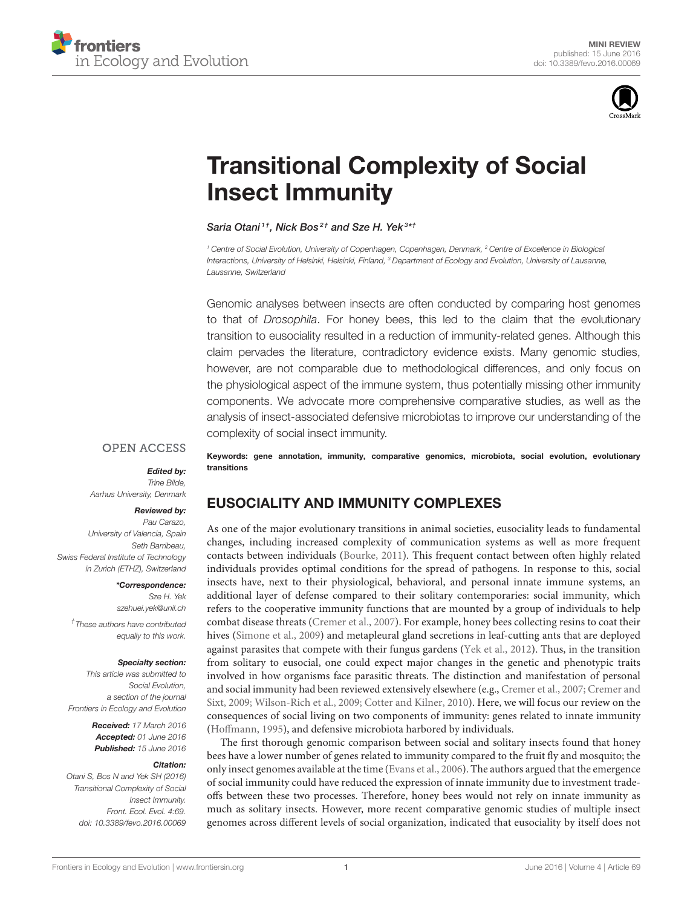



# [Transitional Complexity of Social](http://journal.frontiersin.org/article/10.3389/fevo.2016.00069/abstract) Insect Immunity

[Saria Otani](http://loop.frontiersin.org/people/266930/overview)<sup>11</sup>, [Nick Bos](http://loop.frontiersin.org/people/47338/overview)<sup>2†</sup> and [Sze H. Yek](http://loop.frontiersin.org/people/299987/overview)<sup>3\*†</sup>

*<sup>1</sup> Centre of Social Evolution, University of Copenhagen, Copenhagen, Denmark, <sup>2</sup> Centre of Excellence in Biological Interactions, University of Helsinki, Helsinki, Finland, <sup>3</sup> Department of Ecology and Evolution, University of Lausanne, Lausanne, Switzerland*

Genomic analyses between insects are often conducted by comparing host genomes to that of *Drosophila*. For honey bees, this led to the claim that the evolutionary transition to eusociality resulted in a reduction of immunity-related genes. Although this claim pervades the literature, contradictory evidence exists. Many genomic studies, however, are not comparable due to methodological differences, and only focus on the physiological aspect of the immune system, thus potentially missing other immunity components. We advocate more comprehensive comparative studies, as well as the analysis of insect-associated defensive microbiotas to improve our understanding of the complexity of social insect immunity.

### **OPEN ACCESS**

#### Edited by:

*Trine Bilde, Aarhus University, Denmark*

#### Reviewed by:

*Pau Carazo, University of Valencia, Spain Seth Barribeau, Swiss Federal Institute of Technology in Zurich (ETHZ), Switzerland*

\*Correspondence:

*Sze H. Yek [szehuei.yek@unil.ch](mailto:szehuei.yek@unil.ch)*

*† These authors have contributed equally to this work.*

#### Specialty section:

*This article was submitted to Social Evolution, a section of the journal Frontiers in Ecology and Evolution*

> Received: *17 March 2016* Accepted: *01 June 2016* Published: *15 June 2016*

#### Citation:

*Otani S, Bos N and Yek SH (2016) Transitional Complexity of Social Insect Immunity. Front. Ecol. Evol. 4:69. doi: [10.3389/fevo.2016.00069](http://dx.doi.org/10.3389/fevo.2016.00069)*

Keywords: gene annotation, immunity, comparative genomics, microbiota, social evolution, evolutionary transitions

## EUSOCIALITY AND IMMUNITY COMPLEXES

As one of the major evolutionary transitions in animal societies, eusociality leads to fundamental changes, including increased complexity of communication systems as well as more frequent contacts between individuals [\(Bourke, 2011\)](#page-3-0). This frequent contact between often highly related individuals provides optimal conditions for the spread of pathogens. In response to this, social insects have, next to their physiological, behavioral, and personal innate immune systems, an additional layer of defense compared to their solitary contemporaries: social immunity, which refers to the cooperative immunity functions that are mounted by a group of individuals to help combat disease threats [\(Cremer et al., 2007\)](#page-3-1). For example, honey bees collecting resins to coat their hives [\(Simone et al., 2009\)](#page-4-0) and metapleural gland secretions in leaf-cutting ants that are deployed against parasites that compete with their fungus gardens [\(Yek et al., 2012\)](#page-4-1). Thus, in the transition from solitary to eusocial, one could expect major changes in the genetic and phenotypic traits involved in how organisms face parasitic threats. The distinction and manifestation of personal and social immunity had been reviewed extensively elsewhere (e.g., [Cremer et al., 2007;](#page-3-1) Cremer and Sixt, [2009;](#page-3-2) [Wilson-Rich et al., 2009;](#page-4-2) [Cotter and Kilner, 2010\)](#page-3-3). Here, we will focus our review on the consequences of social living on two components of immunity: genes related to innate immunity [\(Hoffmann, 1995\)](#page-3-4), and defensive microbiota harbored by individuals.

The first thorough genomic comparison between social and solitary insects found that honey bees have a lower number of genes related to immunity compared to the fruit fly and mosquito; the only insect genomes available at the time [\(Evans et al., 2006\)](#page-3-5). The authors argued that the emergence of social immunity could have reduced the expression of innate immunity due to investment tradeoffs between these two processes. Therefore, honey bees would not rely on innate immunity as much as solitary insects. However, more recent comparative genomic studies of multiple insect genomes across different levels of social organization, indicated that eusociality by itself does not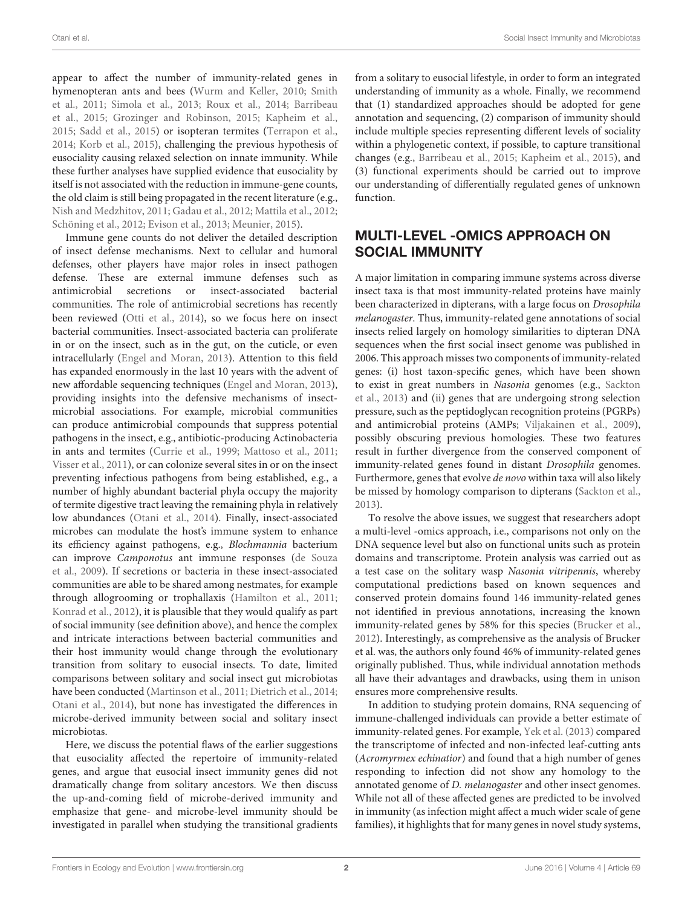appear to affect the number of immunity-related genes in hymenopteran ants and bees [\(Wurm and Keller, 2010;](#page-4-3) Smith et al., [2011;](#page-4-4) [Simola et al., 2013;](#page-4-5) [Roux et al., 2014;](#page-4-6) Barribeau et al., [2015;](#page-3-6) [Grozinger and Robinson, 2015;](#page-3-7) [Kapheim et al.,](#page-3-8) [2015;](#page-3-8) [Sadd et al., 2015\)](#page-4-7) or isopteran termites [\(Terrapon et al.,](#page-4-8) [2014;](#page-4-8) [Korb et al., 2015\)](#page-3-9), challenging the previous hypothesis of eusociality causing relaxed selection on innate immunity. While these further analyses have supplied evidence that eusociality by itself is not associated with the reduction in immune-gene counts, the old claim is still being propagated in the recent literature (e.g., [Nish and Medzhitov, 2011;](#page-4-9) [Gadau et al., 2012;](#page-3-10) [Mattila et al., 2012;](#page-4-10) [Schöning et al., 2012;](#page-4-11) [Evison et al., 2013;](#page-3-11) [Meunier, 2015\)](#page-4-12).

Immune gene counts do not deliver the detailed description of insect defense mechanisms. Next to cellular and humoral defenses, other players have major roles in insect pathogen defense. These are external immune defenses such as antimicrobial secretions or insect-associated bacterial communities. The role of antimicrobial secretions has recently been reviewed [\(Otti et al., 2014\)](#page-4-13), so we focus here on insect bacterial communities. Insect-associated bacteria can proliferate in or on the insect, such as in the gut, on the cuticle, or even intracellularly [\(Engel and Moran, 2013\)](#page-3-12). Attention to this field has expanded enormously in the last 10 years with the advent of new affordable sequencing techniques [\(Engel and Moran, 2013\)](#page-3-12), providing insights into the defensive mechanisms of insectmicrobial associations. For example, microbial communities can produce antimicrobial compounds that suppress potential pathogens in the insect, e.g., antibiotic-producing Actinobacteria in ants and termites [\(Currie et al., 1999;](#page-3-13) [Mattoso et al., 2011;](#page-4-14) [Visser et al., 2011\)](#page-4-15), or can colonize several sites in or on the insect preventing infectious pathogens from being established, e.g., a number of highly abundant bacterial phyla occupy the majority of termite digestive tract leaving the remaining phyla in relatively low abundances [\(Otani et al., 2014\)](#page-4-16). Finally, insect-associated microbes can modulate the host's immune system to enhance its efficiency against pathogens, e.g., Blochmannia bacterium can improve Camponotus ant immune responses (de Souza et al., [2009\)](#page-3-14). If secretions or bacteria in these insect-associated communities are able to be shared among nestmates, for example through allogrooming or trophallaxis [\(Hamilton et al., 2011;](#page-3-15) [Konrad et al., 2012\)](#page-3-16), it is plausible that they would qualify as part of social immunity (see definition above), and hence the complex and intricate interactions between bacterial communities and their host immunity would change through the evolutionary transition from solitary to eusocial insects. To date, limited comparisons between solitary and social insect gut microbiotas have been conducted [\(Martinson et al., 2011;](#page-4-17) [Dietrich et al., 2014;](#page-3-17) [Otani et al., 2014\)](#page-4-16), but none has investigated the differences in microbe-derived immunity between social and solitary insect microbiotas.

Here, we discuss the potential flaws of the earlier suggestions that eusociality affected the repertoire of immunity-related genes, and argue that eusocial insect immunity genes did not dramatically change from solitary ancestors. We then discuss the up-and-coming field of microbe-derived immunity and emphasize that gene- and microbe-level immunity should be investigated in parallel when studying the transitional gradients from a solitary to eusocial lifestyle, in order to form an integrated understanding of immunity as a whole. Finally, we recommend that (1) standardized approaches should be adopted for gene annotation and sequencing, (2) comparison of immunity should include multiple species representing different levels of sociality within a phylogenetic context, if possible, to capture transitional changes (e.g., [Barribeau et al., 2015;](#page-3-6) [Kapheim et al., 2015\)](#page-3-8), and (3) functional experiments should be carried out to improve our understanding of differentially regulated genes of unknown function.

## MULTI-LEVEL -OMICS APPROACH ON SOCIAL IMMUNITY

A major limitation in comparing immune systems across diverse insect taxa is that most immunity-related proteins have mainly been characterized in dipterans, with a large focus on Drosophila melanogaster. Thus, immunity-related gene annotations of social insects relied largely on homology similarities to dipteran DNA sequences when the first social insect genome was published in 2006. This approach misses two components of immunity-related genes: (i) host taxon-specific genes, which have been shown to exist in great numbers in Nasonia genomes (e.g., Sackton et al., [2013\)](#page-4-18) and (ii) genes that are undergoing strong selection pressure, such as the peptidoglycan recognition proteins (PGRPs) and antimicrobial proteins (AMPs; [Viljakainen et al., 2009\)](#page-4-19), possibly obscuring previous homologies. These two features result in further divergence from the conserved component of immunity-related genes found in distant Drosophila genomes. Furthermore, genes that evolve de novo within taxa will also likely be missed by homology comparison to dipterans [\(Sackton et al.,](#page-4-18) [2013\)](#page-4-18).

To resolve the above issues, we suggest that researchers adopt a multi-level -omics approach, i.e., comparisons not only on the DNA sequence level but also on functional units such as protein domains and transcriptome. Protein analysis was carried out as a test case on the solitary wasp Nasonia vitripennis, whereby computational predictions based on known sequences and conserved protein domains found 146 immunity-related genes not identified in previous annotations, increasing the known immunity-related genes by 58% for this species [\(Brucker et al.,](#page-3-18) [2012\)](#page-3-18). Interestingly, as comprehensive as the analysis of Brucker et al. was, the authors only found 46% of immunity-related genes originally published. Thus, while individual annotation methods all have their advantages and drawbacks, using them in unison ensures more comprehensive results.

In addition to studying protein domains, RNA sequencing of immune-challenged individuals can provide a better estimate of immunity-related genes. For example, [Yek et al. \(2013\)](#page-4-20) compared the transcriptome of infected and non-infected leaf-cutting ants (Acromyrmex echinatior) and found that a high number of genes responding to infection did not show any homology to the annotated genome of D. melanogaster and other insect genomes. While not all of these affected genes are predicted to be involved in immunity (as infection might affect a much wider scale of gene families), it highlights that for many genes in novel study systems,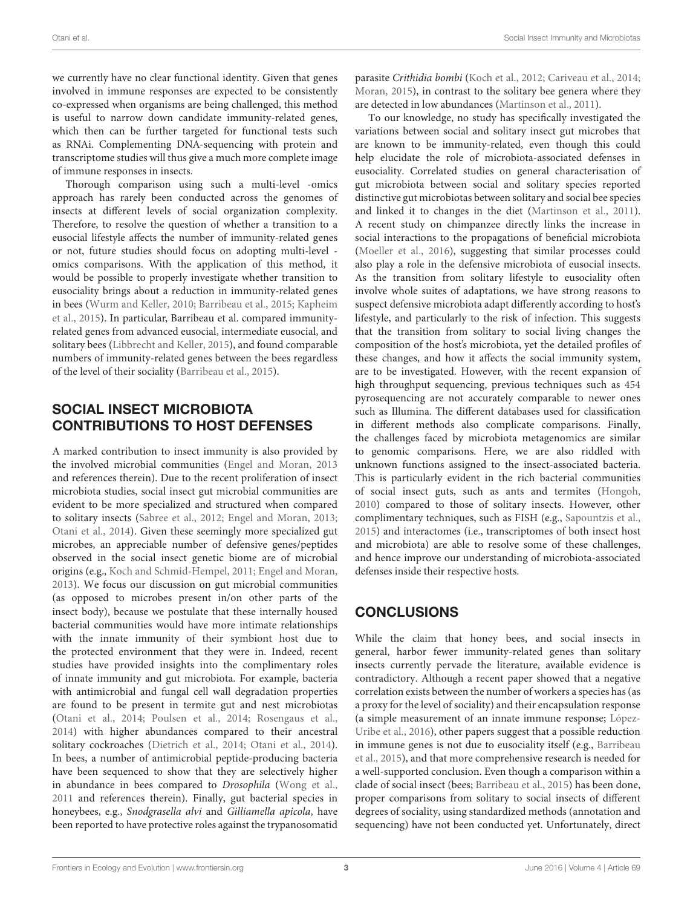we currently have no clear functional identity. Given that genes involved in immune responses are expected to be consistently co-expressed when organisms are being challenged, this method is useful to narrow down candidate immunity-related genes, which then can be further targeted for functional tests such as RNAi. Complementing DNA-sequencing with protein and transcriptome studies will thus give a much more complete image of immune responses in insects.

Thorough comparison using such a multi-level -omics approach has rarely been conducted across the genomes of insects at different levels of social organization complexity. Therefore, to resolve the question of whether a transition to a eusocial lifestyle affects the number of immunity-related genes or not, future studies should focus on adopting multi-level omics comparisons. With the application of this method, it would be possible to properly investigate whether transition to eusociality brings about a reduction in immunity-related genes in bees [\(Wurm and Keller, 2010;](#page-4-3) [Barribeau et al., 2015;](#page-3-6) Kapheim et al., [2015\)](#page-3-8). In particular, Barribeau et al. compared immunityrelated genes from advanced eusocial, intermediate eusocial, and solitary bees [\(Libbrecht and Keller, 2015\)](#page-3-19), and found comparable numbers of immunity-related genes between the bees regardless of the level of their sociality [\(Barribeau et al., 2015\)](#page-3-6).

# SOCIAL INSECT MICROBIOTA CONTRIBUTIONS TO HOST DEFENSES

A marked contribution to insect immunity is also provided by the involved microbial communities [\(Engel and Moran, 2013](#page-3-12) and references therein). Due to the recent proliferation of insect microbiota studies, social insect gut microbial communities are evident to be more specialized and structured when compared to solitary insects [\(Sabree et al., 2012;](#page-4-21) [Engel and Moran, 2013;](#page-3-12) [Otani et al., 2014\)](#page-4-16). Given these seemingly more specialized gut microbes, an appreciable number of defensive genes/peptides observed in the social insect genetic biome are of microbial origins (e.g., [Koch and Schmid-Hempel, 2011;](#page-3-20) [Engel and Moran,](#page-3-12) [2013\)](#page-3-12). We focus our discussion on gut microbial communities (as opposed to microbes present in/on other parts of the insect body), because we postulate that these internally housed bacterial communities would have more intimate relationships with the innate immunity of their symbiont host due to the protected environment that they were in. Indeed, recent studies have provided insights into the complimentary roles of innate immunity and gut microbiota. For example, bacteria with antimicrobial and fungal cell wall degradation properties are found to be present in termite gut and nest microbiotas [\(Otani et al., 2014;](#page-4-16) [Poulsen et al., 2014;](#page-4-22) [Rosengaus et al.,](#page-4-23) [2014\)](#page-4-23) with higher abundances compared to their ancestral solitary cockroaches [\(Dietrich et al., 2014;](#page-3-17) [Otani et al., 2014\)](#page-4-16). In bees, a number of antimicrobial peptide-producing bacteria have been sequenced to show that they are selectively higher in abundance in bees compared to Drosophila [\(Wong et al.,](#page-4-24) [2011](#page-4-24) and references therein). Finally, gut bacterial species in honeybees, e.g., Snodgrasella alvi and Gilliamella apicola, have been reported to have protective roles against the trypanosomatid parasite Crithidia bombi [\(Koch et al., 2012;](#page-3-21) [Cariveau et al., 2014;](#page-3-22) [Moran, 2015\)](#page-4-25), in contrast to the solitary bee genera where they are detected in low abundances [\(Martinson et al., 2011\)](#page-4-17).

To our knowledge, no study has specifically investigated the variations between social and solitary insect gut microbes that are known to be immunity-related, even though this could help elucidate the role of microbiota-associated defenses in eusociality. Correlated studies on general characterisation of gut microbiota between social and solitary species reported distinctive gut microbiotas between solitary and social bee species and linked it to changes in the diet [\(Martinson et al., 2011\)](#page-4-17). A recent study on chimpanzee directly links the increase in social interactions to the propagations of beneficial microbiota [\(Moeller et al., 2016\)](#page-4-26), suggesting that similar processes could also play a role in the defensive microbiota of eusocial insects. As the transition from solitary lifestyle to eusociality often involve whole suites of adaptations, we have strong reasons to suspect defensive microbiota adapt differently according to host's lifestyle, and particularly to the risk of infection. This suggests that the transition from solitary to social living changes the composition of the host's microbiota, yet the detailed profiles of these changes, and how it affects the social immunity system, are to be investigated. However, with the recent expansion of high throughput sequencing, previous techniques such as 454 pyrosequencing are not accurately comparable to newer ones such as Illumina. The different databases used for classification in different methods also complicate comparisons. Finally, the challenges faced by microbiota metagenomics are similar to genomic comparisons. Here, we are also riddled with unknown functions assigned to the insect-associated bacteria. This is particularly evident in the rich bacterial communities of social insect guts, such as ants and termites [\(Hongoh,](#page-3-23) [2010\)](#page-3-23) compared to those of solitary insects. However, other complimentary techniques, such as FISH (e.g., [Sapountzis et al.,](#page-4-27) [2015\)](#page-4-27) and interactomes (i.e., transcriptomes of both insect host and microbiota) are able to resolve some of these challenges, and hence improve our understanding of microbiota-associated defenses inside their respective hosts.

# **CONCLUSIONS**

While the claim that honey bees, and social insects in general, harbor fewer immunity-related genes than solitary insects currently pervade the literature, available evidence is contradictory. Although a recent paper showed that a negative correlation exists between the number of workers a species has (as a proxy for the level of sociality) and their encapsulation response (a simple measurement of an innate immune response; López-Uribe et al., [2016\)](#page-4-28), other papers suggest that a possible reduction in immune genes is not due to eusociality itself (e.g., Barribeau et al., [2015\)](#page-3-6), and that more comprehensive research is needed for a well-supported conclusion. Even though a comparison within a clade of social insect (bees; [Barribeau et al., 2015\)](#page-3-6) has been done, proper comparisons from solitary to social insects of different degrees of sociality, using standardized methods (annotation and sequencing) have not been conducted yet. Unfortunately, direct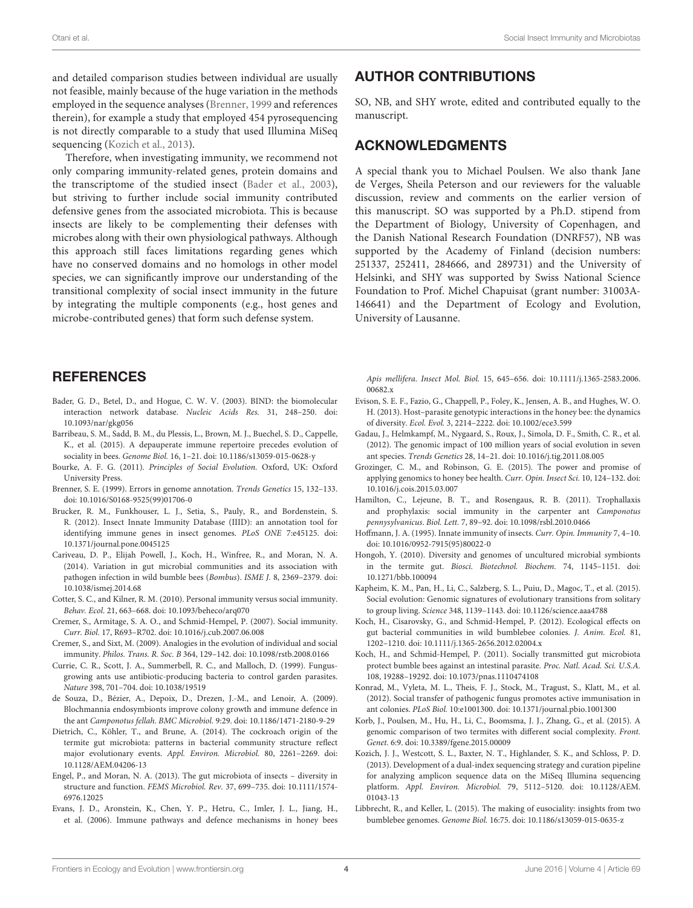and detailed comparison studies between individual are usually not feasible, mainly because of the huge variation in the methods employed in the sequence analyses [\(Brenner, 1999](#page-3-24) and references therein), for example a study that employed 454 pyrosequencing is not directly comparable to a study that used Illumina MiSeq sequencing [\(Kozich et al., 2013\)](#page-3-25).

Therefore, when investigating immunity, we recommend not only comparing immunity-related genes, protein domains and the transcriptome of the studied insect [\(Bader et al., 2003\)](#page-3-26), but striving to further include social immunity contributed defensive genes from the associated microbiota. This is because insects are likely to be complementing their defenses with microbes along with their own physiological pathways. Although this approach still faces limitations regarding genes which have no conserved domains and no homologs in other model species, we can significantly improve our understanding of the transitional complexity of social insect immunity in the future by integrating the multiple components (e.g., host genes and microbe-contributed genes) that form such defense system.

## AUTHOR CONTRIBUTIONS

SO, NB, and SHY wrote, edited and contributed equally to the manuscript.

#### ACKNOWLEDGMENTS

A special thank you to Michael Poulsen. We also thank Jane de Verges, Sheila Peterson and our reviewers for the valuable discussion, review and comments on the earlier version of this manuscript. SO was supported by a Ph.D. stipend from the Department of Biology, University of Copenhagen, and the Danish National Research Foundation (DNRF57), NB was supported by the Academy of Finland (decision numbers: 251337, 252411, 284666, and 289731) and the University of Helsinki, and SHY was supported by Swiss National Science Foundation to Prof. Michel Chapuisat (grant number: 31003A-146641) and the Department of Ecology and Evolution, University of Lausanne.

## **REFERENCES**

- <span id="page-3-26"></span>Bader, G. D., Betel, D., and Hogue, C. W. V. (2003). BIND: the biomolecular interaction network database. Nucleic Acids Res. 31, 248–250. doi: 10.1093/nar/gkg056
- <span id="page-3-6"></span>Barribeau, S. M., Sadd, B. M., du Plessis, L., Brown, M. J., Buechel, S. D., Cappelle, K., et al. (2015). A depauperate immune repertoire precedes evolution of sociality in bees. Genome Biol. 16, 1–21. doi: 10.1186/s13059-015-0628-y
- <span id="page-3-0"></span>Bourke, A. F. G. (2011). Principles of Social Evolution. Oxford, UK: Oxford University Press.
- <span id="page-3-24"></span>Brenner, S. E. (1999). Errors in genome annotation. Trends Genetics 15, 132–133. doi: 10.1016/S0168-9525(99)01706-0
- <span id="page-3-18"></span>Brucker, R. M., Funkhouser, L. J., Setia, S., Pauly, R., and Bordenstein, S. R. (2012). Insect Innate Immunity Database (IIID): an annotation tool for identifying immune genes in insect genomes. PLoS ONE 7:e45125. doi: 10.1371/journal.pone.0045125
- <span id="page-3-22"></span>Cariveau, D. P., Elijah Powell, J., Koch, H., Winfree, R., and Moran, N. A. (2014). Variation in gut microbial communities and its association with pathogen infection in wild bumble bees (Bombus). ISME J. 8, 2369–2379. doi: 10.1038/ismej.2014.68
- <span id="page-3-3"></span>Cotter, S. C., and Kilner, R. M. (2010). Personal immunity versus social immunity. Behav. Ecol. 21, 663–668. doi: 10.1093/beheco/arq070
- <span id="page-3-1"></span>Cremer, S., Armitage, S. A. O., and Schmid-Hempel, P. (2007). Social immunity. Curr. Biol. 17, R693–R702. doi: 10.1016/j.cub.2007.06.008
- <span id="page-3-2"></span>Cremer, S., and Sixt, M. (2009). Analogies in the evolution of individual and social immunity. Philos. Trans. R. Soc. B 364, 129–142. doi: 10.1098/rstb.2008.0166
- <span id="page-3-13"></span>Currie, C. R., Scott, J. A., Summerbell, R. C., and Malloch, D. (1999). Fungusgrowing ants use antibiotic-producing bacteria to control garden parasites. Nature 398, 701–704. doi: 10.1038/19519
- <span id="page-3-14"></span>de Souza, D., Bézier, A., Depoix, D., Drezen, J.-M., and Lenoir, A. (2009). Blochmannia endosymbionts improve colony growth and immune defence in the ant Camponotus fellah. BMC Microbiol. 9:29. doi: 10.1186/1471-2180-9-29
- <span id="page-3-17"></span>Dietrich, C., Köhler, T., and Brune, A. (2014). The cockroach origin of the termite gut microbiota: patterns in bacterial community structure reflect major evolutionary events. Appl. Environ. Microbiol. 80, 2261–2269. doi: 10.1128/AEM.04206-13
- <span id="page-3-12"></span>Engel, P., and Moran, N. A. (2013). The gut microbiota of insects – diversity in structure and function. FEMS Microbiol. Rev. 37, 699–735. doi: 10.1111/1574- 6976.12025
- <span id="page-3-5"></span>Evans, J. D., Aronstein, K., Chen, Y. P., Hetru, C., Imler, J. L., Jiang, H., et al. (2006). Immune pathways and defence mechanisms in honey bees

Apis mellifera. Insect Mol. Biol. 15, 645–656. doi: 10.1111/j.1365-2583.2006. 00682.x

- <span id="page-3-11"></span>Evison, S. E. F., Fazio, G., Chappell, P., Foley, K., Jensen, A. B., and Hughes, W. O. H. (2013). Host–parasite genotypic interactions in the honey bee: the dynamics of diversity. Ecol. Evol. 3, 2214–2222. doi: 10.1002/ece3.599
- <span id="page-3-10"></span>Gadau, J., Helmkampf, M., Nygaard, S., Roux, J., Simola, D. F., Smith, C. R., et al. (2012). The genomic impact of 100 million years of social evolution in seven ant species. Trends Genetics 28, 14–21. doi: 10.1016/j.tig.2011.08.005
- <span id="page-3-7"></span>Grozinger, C. M., and Robinson, G. E. (2015). The power and promise of applying genomics to honey bee health. Curr. Opin. Insect Sci. 10, 124–132. doi: 10.1016/j.cois.2015.03.007
- <span id="page-3-15"></span>Hamilton, C., Lejeune, B. T., and Rosengaus, R. B. (2011). Trophallaxis and prophylaxis: social immunity in the carpenter ant Camponotus pennysylvanicus. Biol. Lett. 7, 89–92. doi: 10.1098/rsbl.2010.0466
- <span id="page-3-4"></span>Hoffmann, J. A. (1995). Innate immunity of insects. Curr. Opin. Immunity 7, 4–10. doi: 10.1016/0952-7915(95)80022-0
- <span id="page-3-23"></span>Hongoh, Y. (2010). Diversity and genomes of uncultured microbial symbionts in the termite gut. Biosci. Biotechnol. Biochem. 74, 1145–1151. doi: 10.1271/bbb.100094
- <span id="page-3-8"></span>Kapheim, K. M., Pan, H., Li, C., Salzberg, S. L., Puiu, D., Magoc, T., et al. (2015). Social evolution: Genomic signatures of evolutionary transitions from solitary to group living. Science 348, 1139–1143. doi: 10.1126/science.aaa4788
- <span id="page-3-21"></span>Koch, H., Cisarovsky, G., and Schmid-Hempel, P. (2012). Ecological effects on gut bacterial communities in wild bumblebee colonies. J. Anim. Ecol. 81, 1202–1210. doi: 10.1111/j.1365-2656.2012.02004.x
- <span id="page-3-20"></span>Koch, H., and Schmid-Hempel, P. (2011). Socially transmitted gut microbiota protect bumble bees against an intestinal parasite. Proc. Natl. Acad. Sci. U.S.A. 108, 19288–19292. doi: 10.1073/pnas.1110474108
- <span id="page-3-16"></span>Konrad, M., Vyleta, M. L., Theis, F. J., Stock, M., Tragust, S., Klatt, M., et al. (2012). Social transfer of pathogenic fungus promotes active immunisation in ant colonies. PLoS Biol. 10:e1001300. doi: 10.1371/journal.pbio.1001300
- <span id="page-3-9"></span>Korb, J., Poulsen, M., Hu, H., Li, C., Boomsma, J. J., Zhang, G., et al. (2015). A genomic comparison of two termites with different social complexity. Front. Genet. 6:9. doi: 10.3389/fgene.2015.00009
- <span id="page-3-25"></span>Kozich, J. J., Westcott, S. L., Baxter, N. T., Highlander, S. K., and Schloss, P. D. (2013). Development of a dual-index sequencing strategy and curation pipeline for analyzing amplicon sequence data on the MiSeq Illumina sequencing platform. Appl. Environ. Microbiol. 79, 5112–5120. doi: 10.1128/AEM. 01043-13
- <span id="page-3-19"></span>Libbrecht, R., and Keller, L. (2015). The making of eusociality: insights from two bumblebee genomes. Genome Biol. 16:75. doi: 10.1186/s13059-015-0635-z